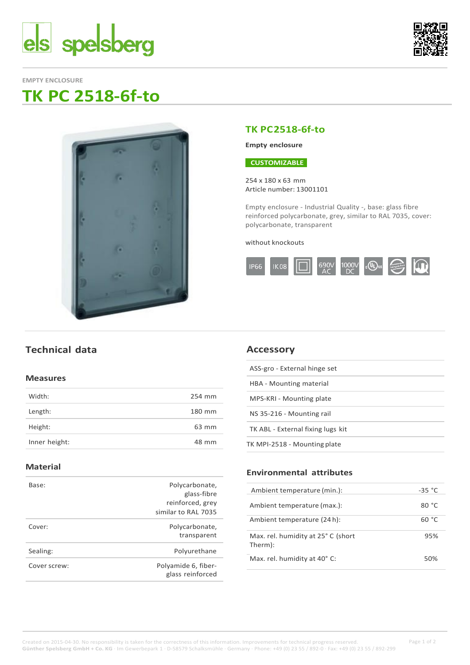



**EMPTY ENCLOSURE**

# **TK PC 2518-6f-to**



# **TK PC2518-6f-to**

### **Empty enclosure**

### **CUSTOMIZABLE**

254 x 180 x 63 mm Article number: 13001101

Empty enclosure - Industrial Quality -, base: glass fibre reinforced polycarbonate, grey, similar to RAL 7035, cover: polycarbonate, transparent

#### without knockouts



# **Technical data**

#### **Measures**

| Width:        | 254 mm |
|---------------|--------|
| Length:       | 180 mm |
| Height:       | 63 mm  |
| Inner height: | 48 mm  |

### **Material**

| Base:        | Polycarbonate,                          |
|--------------|-----------------------------------------|
|              | glass-fibre                             |
|              | reinforced, grey                        |
|              | similar to RAL 7035                     |
| Cover:       | Polycarbonate,                          |
|              | transparent                             |
| Sealing:     | Polyurethane                            |
| Cover screw: | Polyamide 6, fiber-<br>glass reinforced |
|              |                                         |

# **Accessory**

| ASS-gro - External hinge set      |
|-----------------------------------|
| HBA - Mounting material           |
| MPS-KRI - Mounting plate          |
| NS 35-216 - Mounting rail         |
| TK ABL - External fixing lugs kit |
| TK MPI-2518 - Mounting plate      |

## **Environmental attributes**

| ycarbonate,<br>glass-fibre  | Ambient temperature (min.):        | $-35 °C$ |
|-----------------------------|------------------------------------|----------|
| forced, grey<br>to RAL 7035 | Ambient temperature (max.):        | 80 °C    |
|                             | Ambient temperature (24 h):        | 60 °C    |
| vcarbonate,<br>transparent  | Max. rel. humidity at 25° C (short | 95%      |
| olyurethane                 | Therm):                            |          |
| $id \circ \in$ fibor        | Max. rel. humidity at 40° C:       | 50%      |